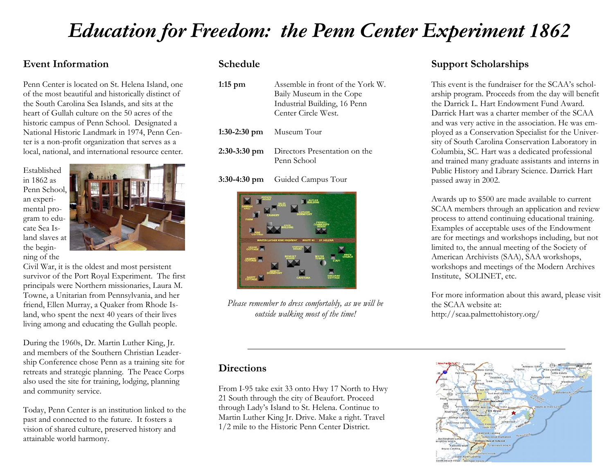# *Education for Freedom: the Penn Center Experiment 1862*

## **Event Information**

Penn Center is located on St. Helena Island, one of the most beautiful and historically distinct of the South Carolina Sea Islands, and sits at the heart of Gullah culture on the 50 acres of the historic campus of Penn School. Designated a National Historic Landmark in 1974, Penn Center is a non-profit organization that serves as a local, national, and international resource center.

Established in 1862 as Penn School, an experimental program to educate Sea Island slaves at the beginning of the



Civil War, it is the oldest and most persistent survivor of the Port Royal Experiment. The first principals were Northern missionaries, Laura M. Towne, a Unitarian from Pennsylvania, and her friend, Ellen Murray, a Quaker from Rhode Island, who spent the next 40 years of their lives living among and educating the Gullah people.

During the 1960s, Dr. Martin Luther King, Jr. and members of the Southern Christian Leadership Conference chose Penn as a training site for retreats and strategic planning. The Peace Corps also used the site for training, lodging, planning and community service.

Today, Penn Center is an institution linked to the past and connected to the future. It fosters a vision of shared culture, preserved history and attainable world harmony.

### **Schedule**

| $1:15$ pm      | Assemble in front of the York W.<br>Baily Museum in the Cope<br>Industrial Building, 16 Penn<br>Center Circle West. |
|----------------|---------------------------------------------------------------------------------------------------------------------|
|                | $1:30-2:30$ pm Museum Tour                                                                                          |
| $2:30-3:30$ pm | Directors Presentation on the<br>Penn School                                                                        |

**3:30-4:30 pm** Guided Campus Tour



*Please remember to dress comfortably, as we will be outside walking most of the time!*

## **Support Scholarships**

This event is the fundraiser for the SCAA's scholarship program. Proceeds from the day will benefit the Darrick L. Hart Endowment Fund Award. Darrick Hart was a charter member of the SCAA and was very active in the association. He was employed as a Conservation Specialist for the University of South Carolina Conservation Laboratory in Columbia, SC. Hart was a dedicated professional and trained many graduate assistants and interns in Public History and Library Science. Darrick Hart passed away in 2002.

Awards up to \$500 are made available to current SCAA members through an application and review process to attend continuing educational training. Examples of acceptable uses of the Endowment are for meetings and workshops including, but not limited to, the annual meeting of the Society of American Archivists (SAA), SAA workshops, workshops and meetings of the Modern Archives Institute, SOLINET, etc.

For more information about this award, please visit the SCAA website at: http://scaa.palmettohistory.org/

#### **Directions**

From I-95 take exit 33 onto Hwy 17 North to Hwy 21 South through the city of Beaufort. Proceed through Lady's Island to St. Helena. Continue to Martin Luther King Jr. Drive. Make a right. Travel 1/2 mile to the Historic Penn Center District.